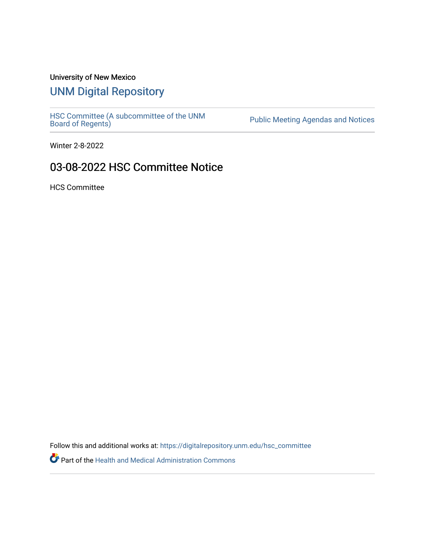## University of New Mexico

## [UNM Digital Repository](https://digitalrepository.unm.edu/)

[HSC Committee \(A subcommittee of the UNM](https://digitalrepository.unm.edu/hsc_committee) Public Meeting Agendas and Notices<br>[Board of Regents\)](https://digitalrepository.unm.edu/hsc_committee)

Winter 2-8-2022

## 03-08-2022 HSC Committee Notice

HCS Committee

Follow this and additional works at: [https://digitalrepository.unm.edu/hsc\\_committee](https://digitalrepository.unm.edu/hsc_committee?utm_source=digitalrepository.unm.edu%2Fhsc_committee%2F306&utm_medium=PDF&utm_campaign=PDFCoverPages) 

Part of the [Health and Medical Administration Commons](http://network.bepress.com/hgg/discipline/663?utm_source=digitalrepository.unm.edu%2Fhsc_committee%2F306&utm_medium=PDF&utm_campaign=PDFCoverPages)